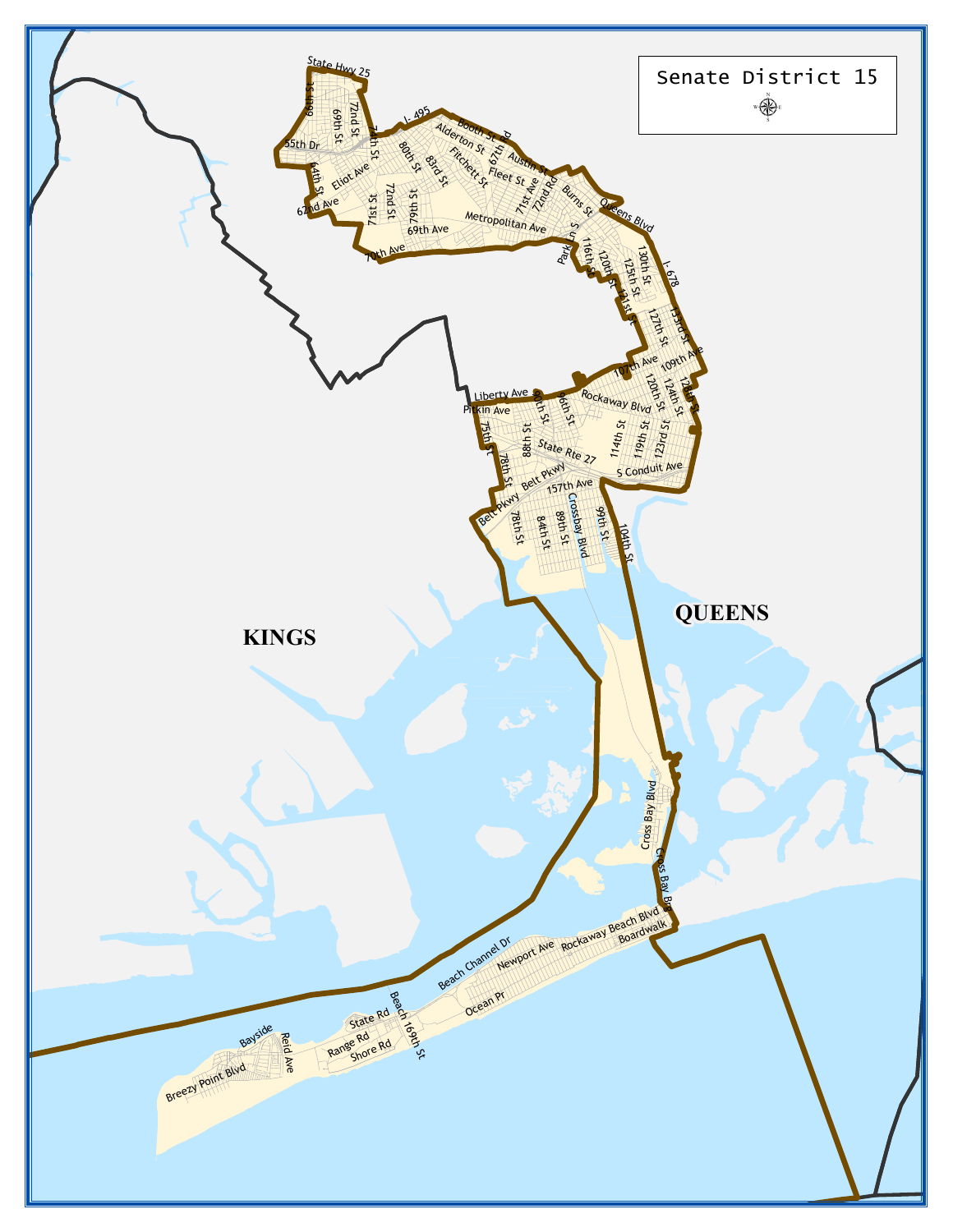